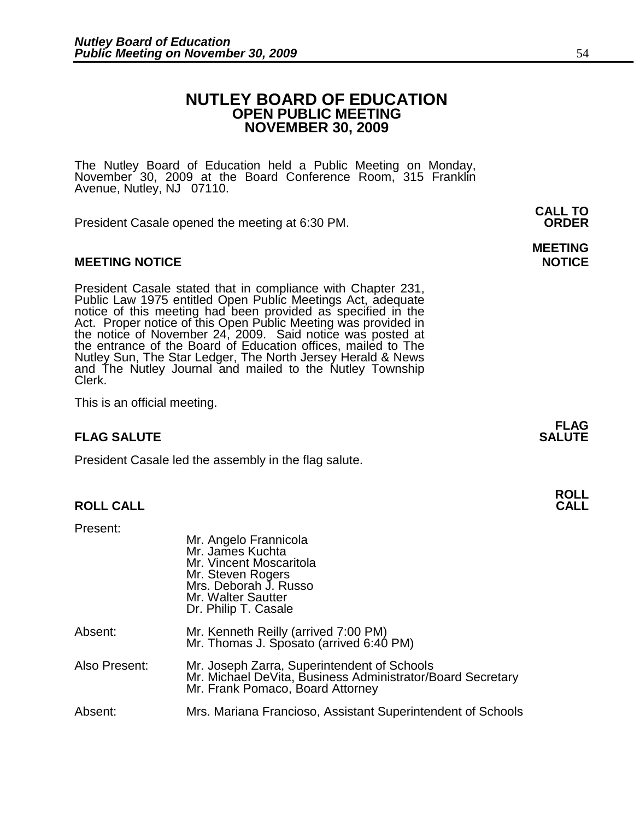# **NUTLEY BOARD OF EDUCATION OPEN PUBLIC MEETING NOVEMBER 30, 2009**

The Nutley Board of Education held a Public Meeting on Monday, November 30, 2009 at the Board Conference Room, 315 Franklin Avenue, Nutley, NJ 07110.

President Casale opened the meeting at 6:30 PM. **ORDER**

### **MEETING NOTICE NOTICE**

President Casale stated that in compliance with Chapter 231, Public Law 1975 entitled Open Public Meetings Act, adequate notice of this meeting had been provided as specified in the Act. Proper notice of this Open Public Meeting was provided in the notice of November 24, 2009. Said notice was posted at the entrance of the Board of Education offices, mailed to The Nutley Sun, The Star Ledger, The North Jersey Herald & News and The Nutley Journal and mailed to the Nutley Township Clerk.

This is an official meeting.

### **FLAG SALUTE SALUTE SALUTE**

President Casale led the assembly in the flag salute.

### **ROLL CALL CALL**

Present:

|               | Mr. Angelo Frannicola<br>Mr. James Kuchta<br>Mr. Vincent Moscaritola<br>Mr. Steven Rogers<br>Mrs. Deborah J. Russo<br>Mr. Walter Sautter<br>Dr. Philip T. Casale |
|---------------|------------------------------------------------------------------------------------------------------------------------------------------------------------------|
| Absent:       | Mr. Kenneth Reilly (arrived 7:00 PM)<br>Mr. Thomas J. Sposato (arrived 6:40 PM)                                                                                  |
| Also Present: | Mr. Joseph Zarra, Superintendent of Schools<br>Mr. Michael DeVita, Business Administrator/Board Secretary<br>Mr. Frank Pomaco, Board Attorney                    |
| Absent:       | Mrs. Mariana Francioso, Assistant Superintendent of Schools                                                                                                      |

**CALL TO** 

# **MEETING**

**FLAG** 

**ROLL**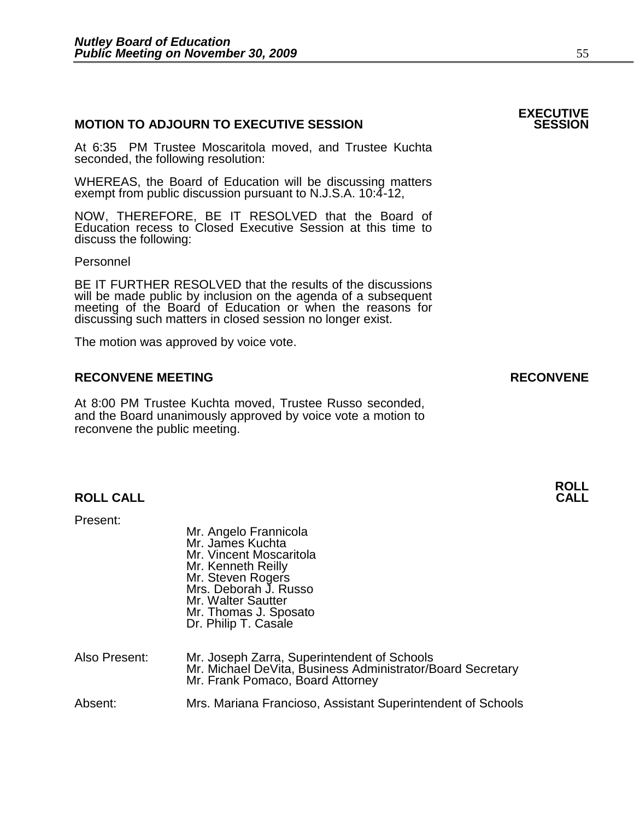# **MOTION TO ADJOURN TO EXECUTIVE SESSION**

At 6:35 PM Trustee Moscaritola moved, and Trustee Kuchta seconded, the following resolution:

WHEREAS, the Board of Education will be discussing matters exempt from public discussion pursuant to N.J.S.A. 10:4-12,

NOW, THEREFORE, BE IT RESOLVED that the Board of Education recess to Closed Executive Session at this time to discuss the following:

Personnel

 BE IT FURTHER RESOLVED that the results of the discussions will be made public by inclusion on the agenda of a subsequent meeting of the Board of Education or when the reasons for discussing such matters in closed session no longer exist.

The motion was approved by voice vote.

# **RECONVENE MEETING RECONVENE**

At 8:00 PM Trustee Kuchta moved, Trustee Russo seconded, and the Board unanimously approved by voice vote a motion to reconvene the public meeting.

# **ROLL CALL CALL**

Present:

|               | Mr. Angelo Frannicola<br>Mr. James Kuchta<br>Mr. Vincent Moscaritola<br>Mr. Kenneth Reilly<br>Mr. Steven Rogers<br>Mrs. Deborah J. Russo<br>Mr. Walter Sautter<br>Mr. Thomas J. Sposato<br>Dr. Philip T. Casale |
|---------------|-----------------------------------------------------------------------------------------------------------------------------------------------------------------------------------------------------------------|
| Also Present: | Mr. Joseph Zarra, Superintendent of Schools<br>Mr. Michael DeVita, Business Administrator/Board Secretary<br>Mr. Frank Pomaco, Board Attorney                                                                   |
| Absent:       | Mrs. Mariana Francioso, Assistant Superintendent of Schools                                                                                                                                                     |

# **EXECUTIVE**

**ROLL**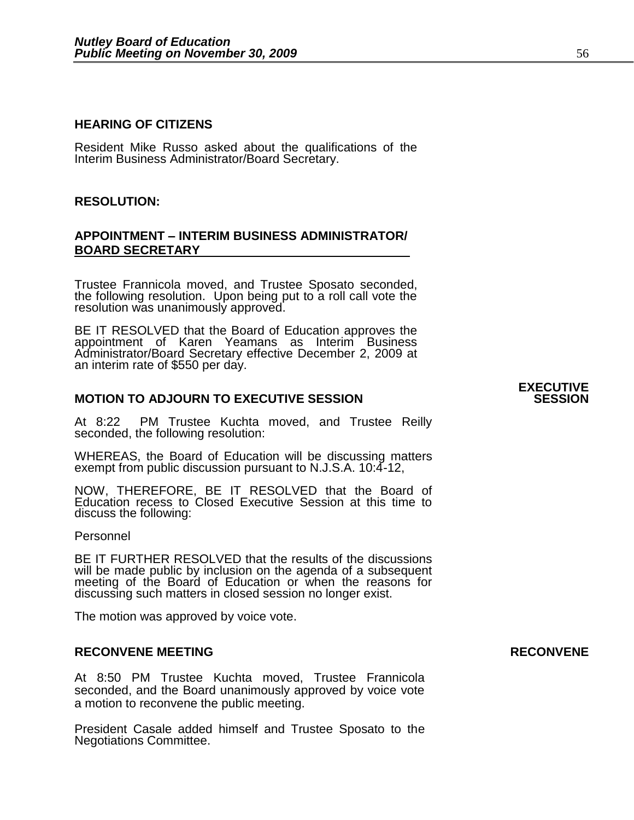### **HEARING OF CITIZENS**

Resident Mike Russo asked about the qualifications of the Interim Business Administrator/Board Secretary.

#### **RESOLUTION:**

# **APPOINTMENT – INTERIM BUSINESS ADMINISTRATOR/ BOARD SECRETARY**

Trustee Frannicola moved, and Trustee Sposato seconded, the following resolution. Upon being put to a roll call vote the resolution was unanimously approved.

BE IT RESOLVED that the Board of Education approves the appointment of Karen Yeamans as Interim Business Administrator/Board Secretary effective December 2, 2009 at an interim rate of \$550 per day.

# **MOTION TO ADJOURN TO EXECUTIVE SESSION**

At 8:22 PM Trustee Kuchta moved, and Trustee Reilly seconded, the following resolution:

WHEREAS, the Board of Education will be discussing matters exempt from public discussion pursuant to N.J.S.A. 10:4-12,

NOW, THEREFORE, BE IT RESOLVED that the Board of Education recess to Closed Executive Session at this time to discuss the following:

#### Personnel

BE IT FURTHER RESOLVED that the results of the discussions will be made public by inclusion on the agenda of a subsequent meeting of the Board of Education or when the reasons for discussing such matters in closed session no longer exist.

The motion was approved by voice vote.

#### **RECONVENE MEETING RECONVENE**

At 8:50 PM Trustee Kuchta moved, Trustee Frannicola seconded, and the Board unanimously approved by voice vote a motion to reconvene the public meeting.

President Casale added himself and Trustee Sposato to the Negotiations Committee.

**EXECUTIVE**